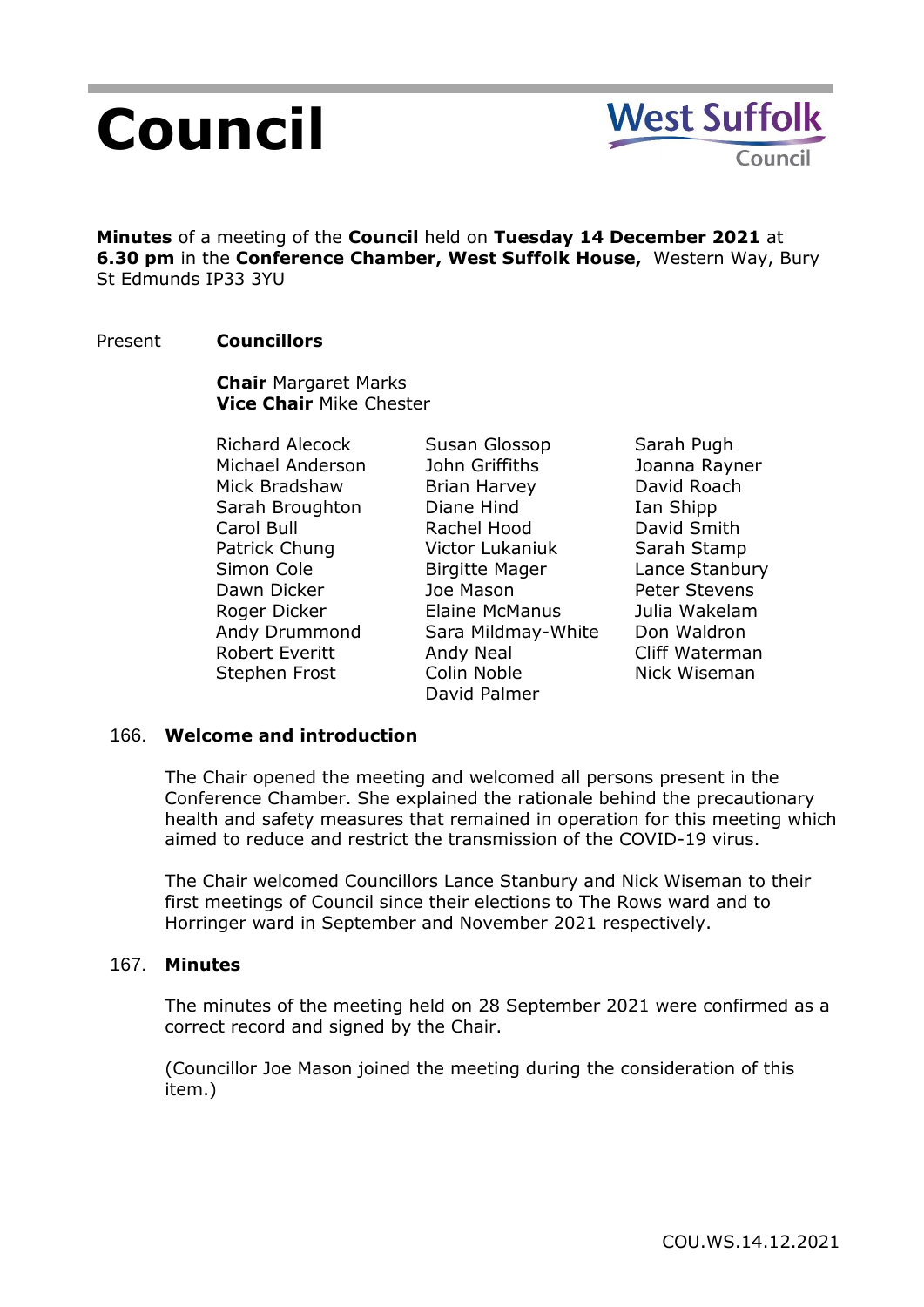# **Council**

**Minutes** of a meeting of the **Council** held on **Tuesday 14 December 2021** at **6.30 pm** in the **Conference Chamber, West Suffolk House,** Western Way, Bury St Edmunds IP33 3YU

## Present **Councillors**

**Chair** Margaret Marks **Vice Chair** Mike Chester

Richard Alecock Michael Anderson Mick Bradshaw Sarah Broughton Carol Bull Patrick Chung Simon Cole Dawn Dicker Roger Dicker Andy Drummond Robert Everitt Stephen Frost

Susan Glossop John Griffiths Brian Harvey Diane Hind Rachel Hood Victor Lukaniuk Birgitte Mager Joe Mason Elaine McManus Sara Mildmay-White Andy Neal Colin Noble David Palmer

Sarah Pugh Joanna Rayner David Roach Ian Shipp David Smith Sarah Stamp Lance Stanbury Peter Stevens Julia Wakelam Don Waldron Cliff Waterman Nick Wiseman

#### 166. **Welcome and introduction**

The Chair opened the meeting and welcomed all persons present in the Conference Chamber. She explained the rationale behind the precautionary health and safety measures that remained in operation for this meeting which aimed to reduce and restrict the transmission of the COVID-19 virus.

The Chair welcomed Councillors Lance Stanbury and Nick Wiseman to their first meetings of Council since their elections to The Rows ward and to Horringer ward in September and November 2021 respectively.

#### 167. **Minutes**

The minutes of the meeting held on 28 September 2021 were confirmed as a correct record and signed by the Chair.

(Councillor Joe Mason joined the meeting during the consideration of this item.)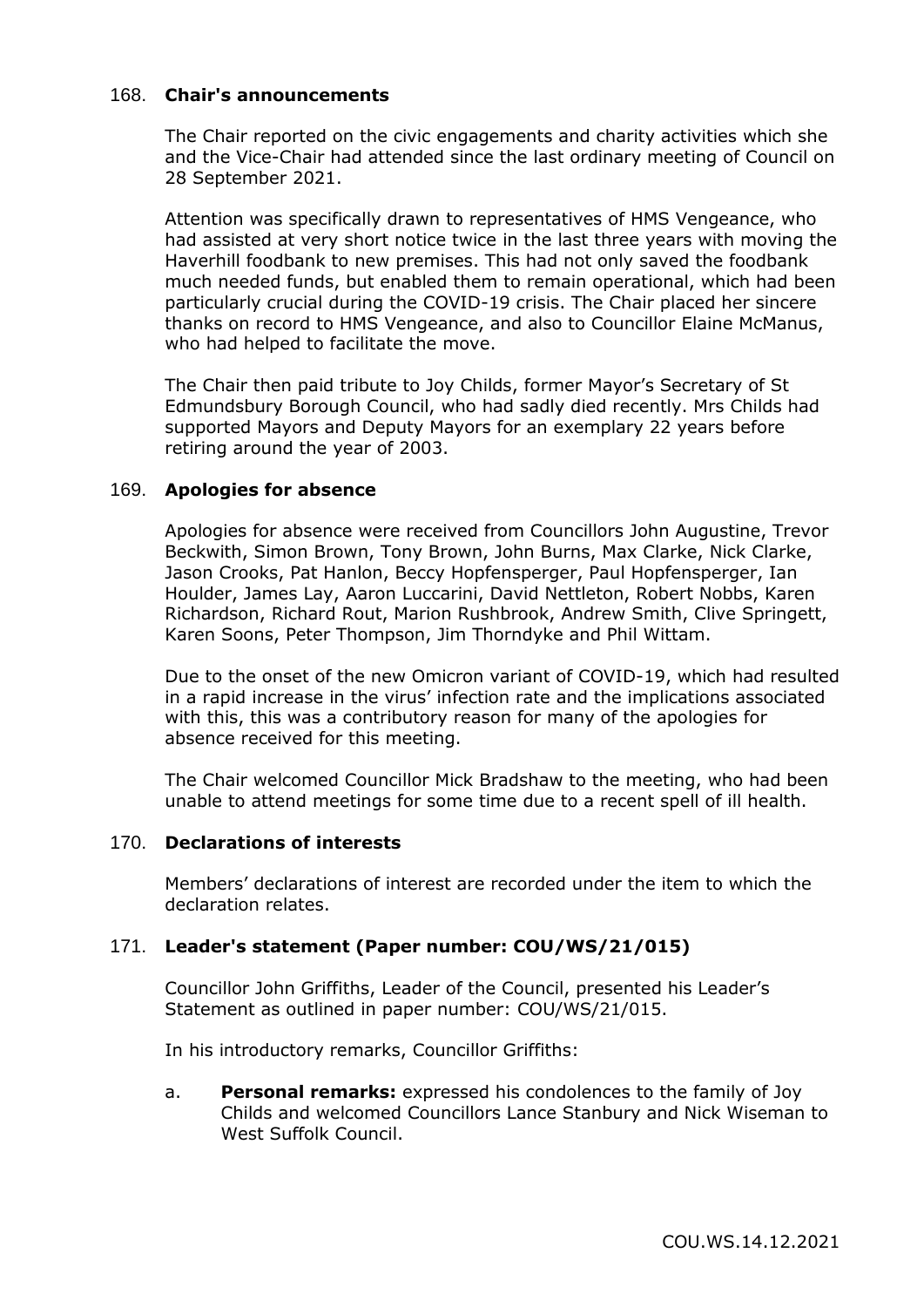#### 168. **Chair's announcements**

The Chair reported on the civic engagements and charity activities which she and the Vice-Chair had attended since the last ordinary meeting of Council on 28 September 2021.

Attention was specifically drawn to representatives of HMS Vengeance, who had assisted at very short notice twice in the last three years with moving the Haverhill foodbank to new premises. This had not only saved the foodbank much needed funds, but enabled them to remain operational, which had been particularly crucial during the COVID-19 crisis. The Chair placed her sincere thanks on record to HMS Vengeance, and also to Councillor Elaine McManus, who had helped to facilitate the move.

The Chair then paid tribute to Joy Childs, former Mayor's Secretary of St Edmundsbury Borough Council, who had sadly died recently. Mrs Childs had supported Mayors and Deputy Mayors for an exemplary 22 years before retiring around the year of 2003.

#### 169. **Apologies for absence**

Apologies for absence were received from Councillors John Augustine, Trevor Beckwith, Simon Brown, Tony Brown, John Burns, Max Clarke, Nick Clarke, Jason Crooks, Pat Hanlon, Beccy Hopfensperger, Paul Hopfensperger, Ian Houlder, James Lay, Aaron Luccarini, David Nettleton, Robert Nobbs, Karen Richardson, Richard Rout, Marion Rushbrook, Andrew Smith, Clive Springett, Karen Soons, Peter Thompson, Jim Thorndyke and Phil Wittam.

Due to the onset of the new Omicron variant of COVID-19, which had resulted in a rapid increase in the virus' infection rate and the implications associated with this, this was a contributory reason for many of the apologies for absence received for this meeting.

The Chair welcomed Councillor Mick Bradshaw to the meeting, who had been unable to attend meetings for some time due to a recent spell of ill health.

#### 170. **Declarations of interests**

Members' declarations of interest are recorded under the item to which the declaration relates.

#### 171. **Leader's statement (Paper number: COU/WS/21/015)**

Councillor John Griffiths, Leader of the Council, presented his Leader's Statement as outlined in paper number: COU/WS/21/015.

In his introductory remarks, Councillor Griffiths:

a. **Personal remarks:** expressed his condolences to the family of Joy Childs and welcomed Councillors Lance Stanbury and Nick Wiseman to West Suffolk Council.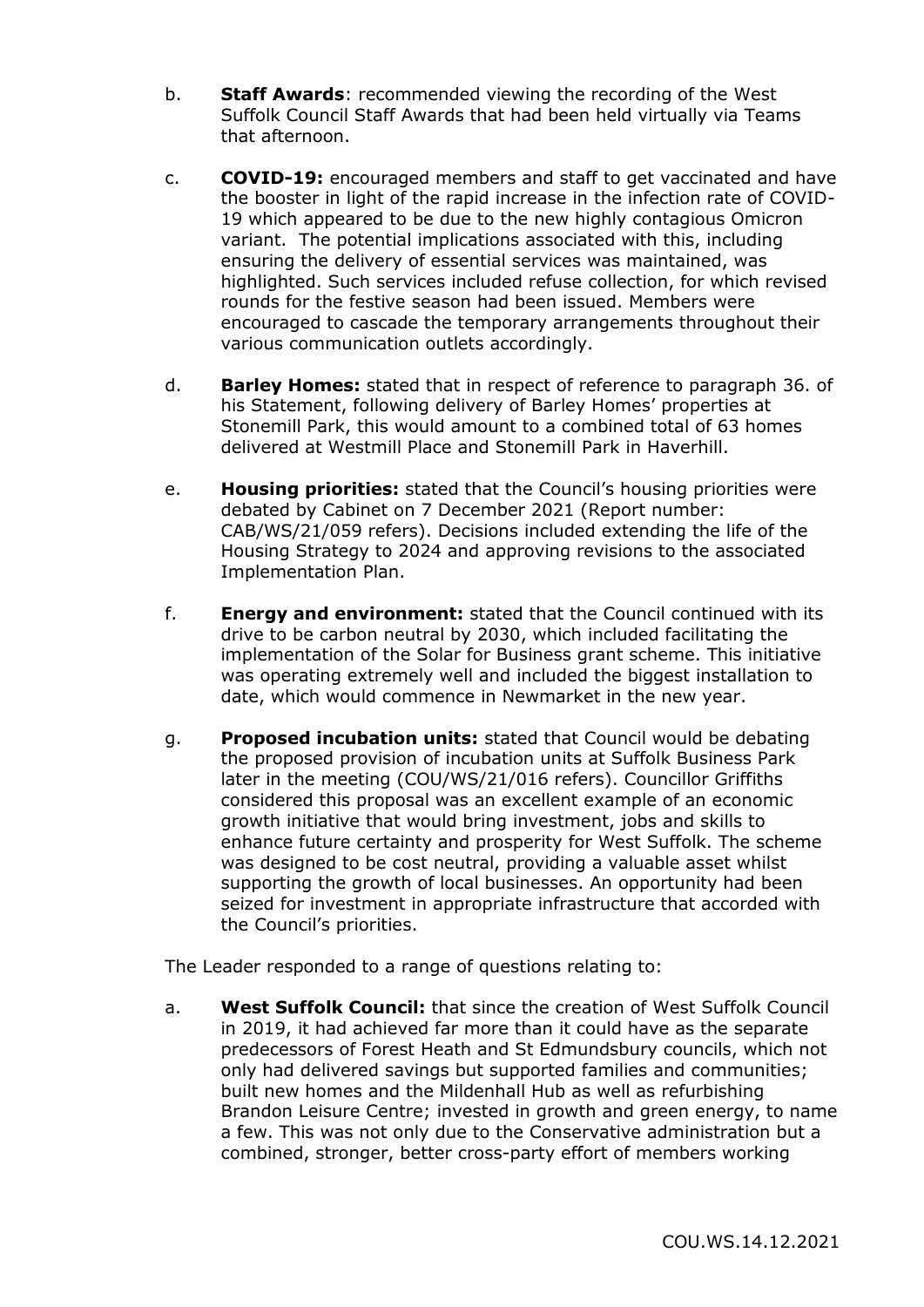- b. **Staff Awards**: recommended viewing the recording of the West Suffolk Council Staff Awards that had been held virtually via Teams that afternoon.
- c. **COVID-19:** encouraged members and staff to get vaccinated and have the booster in light of the rapid increase in the infection rate of COVID-19 which appeared to be due to the new highly contagious Omicron variant. The potential implications associated with this, including ensuring the delivery of essential services was maintained, was highlighted. Such services included refuse collection, for which revised rounds for the festive season had been issued. Members were encouraged to cascade the temporary arrangements throughout their various communication outlets accordingly.
- d. **Barley Homes:** stated that in respect of reference to paragraph 36. of his Statement, following delivery of Barley Homes' properties at Stonemill Park, this would amount to a combined total of 63 homes delivered at Westmill Place and Stonemill Park in Haverhill.
- e. **Housing priorities:** stated that the Council's housing priorities were debated by Cabinet on 7 December 2021 (Report number: CAB/WS/21/059 refers). Decisions included extending the life of the Housing Strategy to 2024 and approving revisions to the associated Implementation Plan.
- f. **Energy and environment:** stated that the Council continued with its drive to be carbon neutral by 2030, which included facilitating the implementation of the Solar for Business grant scheme. This initiative was operating extremely well and included the biggest installation to date, which would commence in Newmarket in the new year.
- g. **Proposed incubation units:** stated that Council would be debating the proposed provision of incubation units at Suffolk Business Park later in the meeting (COU/WS/21/016 refers). Councillor Griffiths considered this proposal was an excellent example of an economic growth initiative that would bring investment, jobs and skills to enhance future certainty and prosperity for West Suffolk. The scheme was designed to be cost neutral, providing a valuable asset whilst supporting the growth of local businesses. An opportunity had been seized for investment in appropriate infrastructure that accorded with the Council's priorities.

The Leader responded to a range of questions relating to:

a. **West Suffolk Council:** that since the creation of West Suffolk Council in 2019, it had achieved far more than it could have as the separate predecessors of Forest Heath and St Edmundsbury councils, which not only had delivered savings but supported families and communities; built new homes and the Mildenhall Hub as well as refurbishing Brandon Leisure Centre; invested in growth and green energy, to name a few. This was not only due to the Conservative administration but a combined, stronger, better cross-party effort of members working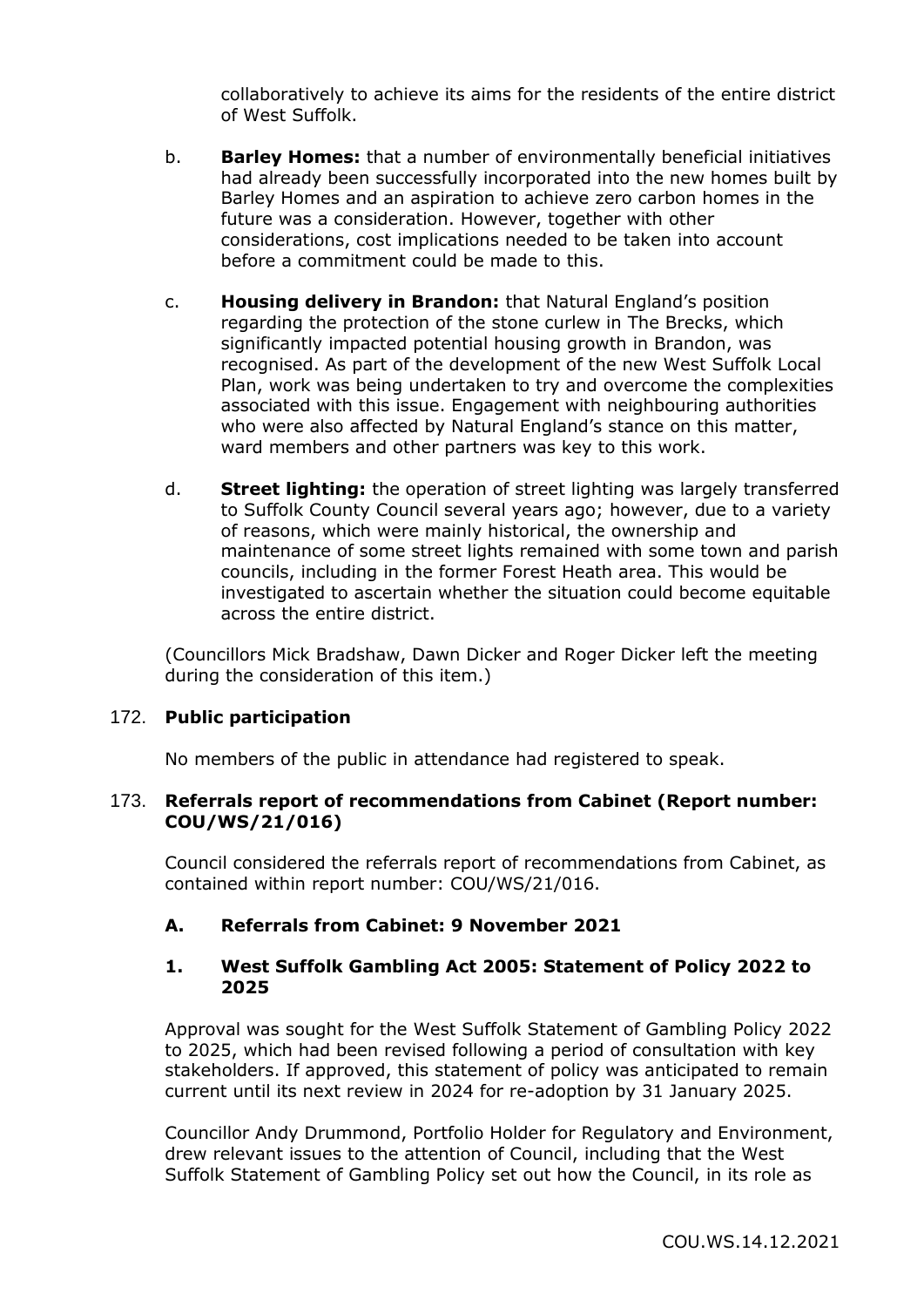collaboratively to achieve its aims for the residents of the entire district of West Suffolk.

- b. **Barley Homes:** that a number of environmentally beneficial initiatives had already been successfully incorporated into the new homes built by Barley Homes and an aspiration to achieve zero carbon homes in the future was a consideration. However, together with other considerations, cost implications needed to be taken into account before a commitment could be made to this.
- c. **Housing delivery in Brandon:** that Natural England's position regarding the protection of the stone curlew in The Brecks, which significantly impacted potential housing growth in Brandon, was recognised. As part of the development of the new West Suffolk Local Plan, work was being undertaken to try and overcome the complexities associated with this issue. Engagement with neighbouring authorities who were also affected by Natural England's stance on this matter, ward members and other partners was key to this work.
- d. **Street lighting:** the operation of street lighting was largely transferred to Suffolk County Council several years ago; however, due to a variety of reasons, which were mainly historical, the ownership and maintenance of some street lights remained with some town and parish councils, including in the former Forest Heath area. This would be investigated to ascertain whether the situation could become equitable across the entire district.

(Councillors Mick Bradshaw, Dawn Dicker and Roger Dicker left the meeting during the consideration of this item.)

#### 172. **Public participation**

No members of the public in attendance had registered to speak.

#### 173. **Referrals report of recommendations from Cabinet (Report number: COU/WS/21/016)**

Council considered the referrals report of recommendations from Cabinet, as contained within report number: COU/WS/21/016.

#### **A. Referrals from Cabinet: 9 November 2021**

#### **1. West Suffolk Gambling Act 2005: Statement of Policy 2022 to 2025**

Approval was sought for the West Suffolk Statement of Gambling Policy 2022 to 2025, which had been revised following a period of consultation with key stakeholders. If approved, this statement of policy was anticipated to remain current until its next review in 2024 for re-adoption by 31 January 2025.

Councillor Andy Drummond, Portfolio Holder for Regulatory and Environment, drew relevant issues to the attention of Council, including that the West Suffolk Statement of Gambling Policy set out how the Council, in its role as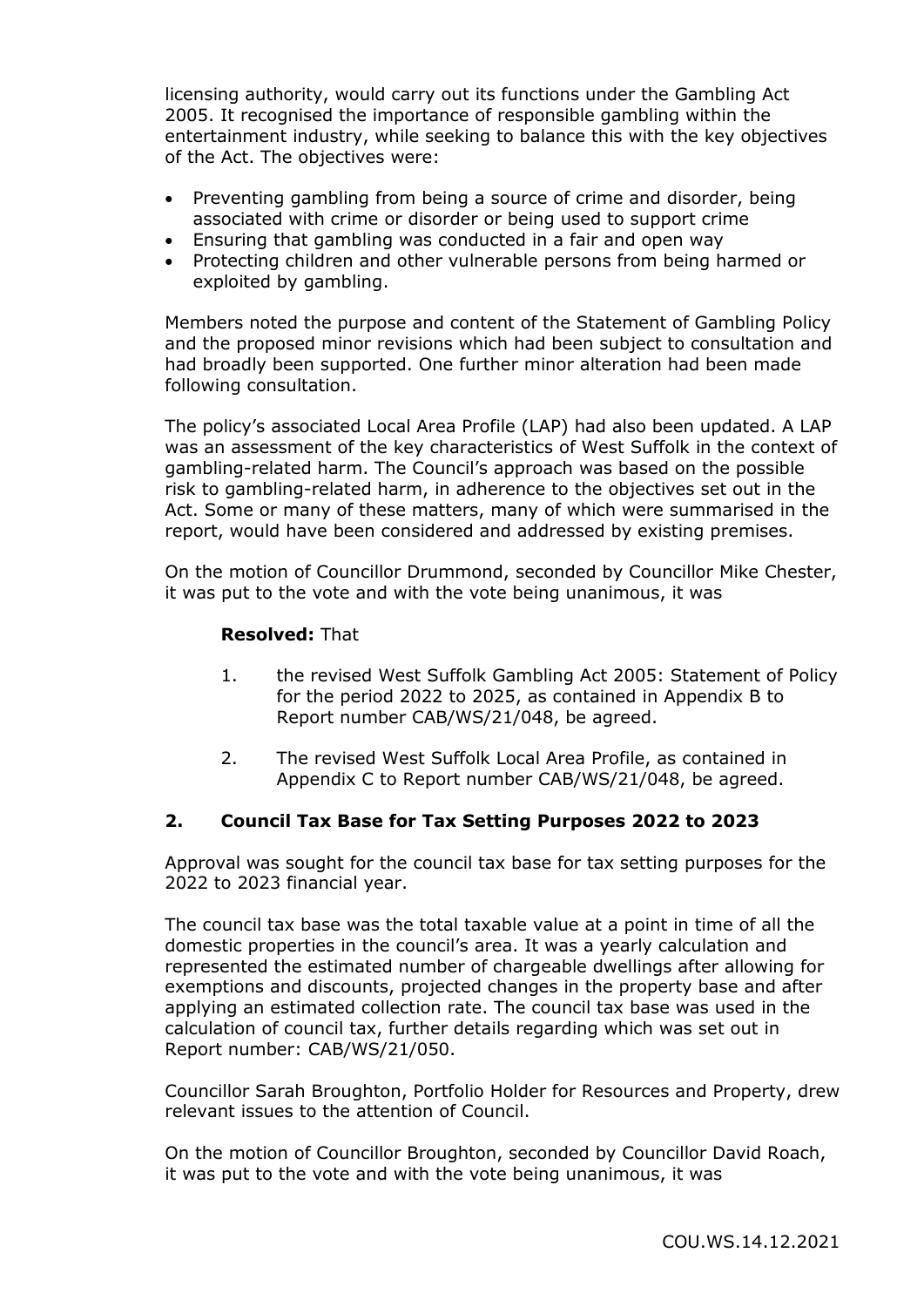licensing authority, would carry out its functions under the Gambling Act 2005. It recognised the importance of responsible gambling within the entertainment industry, while seeking to balance this with the key objectives of the Act. The objectives were:

- Preventing gambling from being a source of crime and disorder, being associated with crime or disorder or being used to support crime
- Ensuring that gambling was conducted in a fair and open way
- Protecting children and other vulnerable persons from being harmed or exploited by gambling.

Members noted the purpose and content of the Statement of Gambling Policy and the proposed minor revisions which had been subject to consultation and had broadly been supported. One further minor alteration had been made following consultation.

The policy's associated Local Area Profile (LAP) had also been updated. A LAP was an assessment of the key characteristics of West Suffolk in the context of gambling-related harm. The Council's approach was based on the possible risk to gambling-related harm, in adherence to the objectives set out in the Act. Some or many of these matters, many of which were summarised in the report, would have been considered and addressed by existing premises.

On the motion of Councillor Drummond, seconded by Councillor Mike Chester, it was put to the vote and with the vote being unanimous, it was

## **Resolved:** That

- 1. the revised West Suffolk Gambling Act 2005: Statement of Policy for the period 2022 to 2025, as contained in Appendix B to Report number CAB/WS/21/048, be agreed.
- 2. The revised West Suffolk Local Area Profile, as contained in Appendix C to Report number CAB/WS/21/048, be agreed.

#### **2. Council Tax Base for Tax Setting Purposes 2022 to 2023**

Approval was sought for the council tax base for tax setting purposes for the 2022 to 2023 financial year.

The council tax base was the total taxable value at a point in time of all the domestic properties in the council's area. It was a yearly calculation and represented the estimated number of chargeable dwellings after allowing for exemptions and discounts, projected changes in the property base and after applying an estimated collection rate. The council tax base was used in the calculation of council tax, further details regarding which was set out in Report number: CAB/WS/21/050.

Councillor Sarah Broughton, Portfolio Holder for Resources and Property, drew relevant issues to the attention of Council.

On the motion of Councillor Broughton, seconded by Councillor David Roach, it was put to the vote and with the vote being unanimous, it was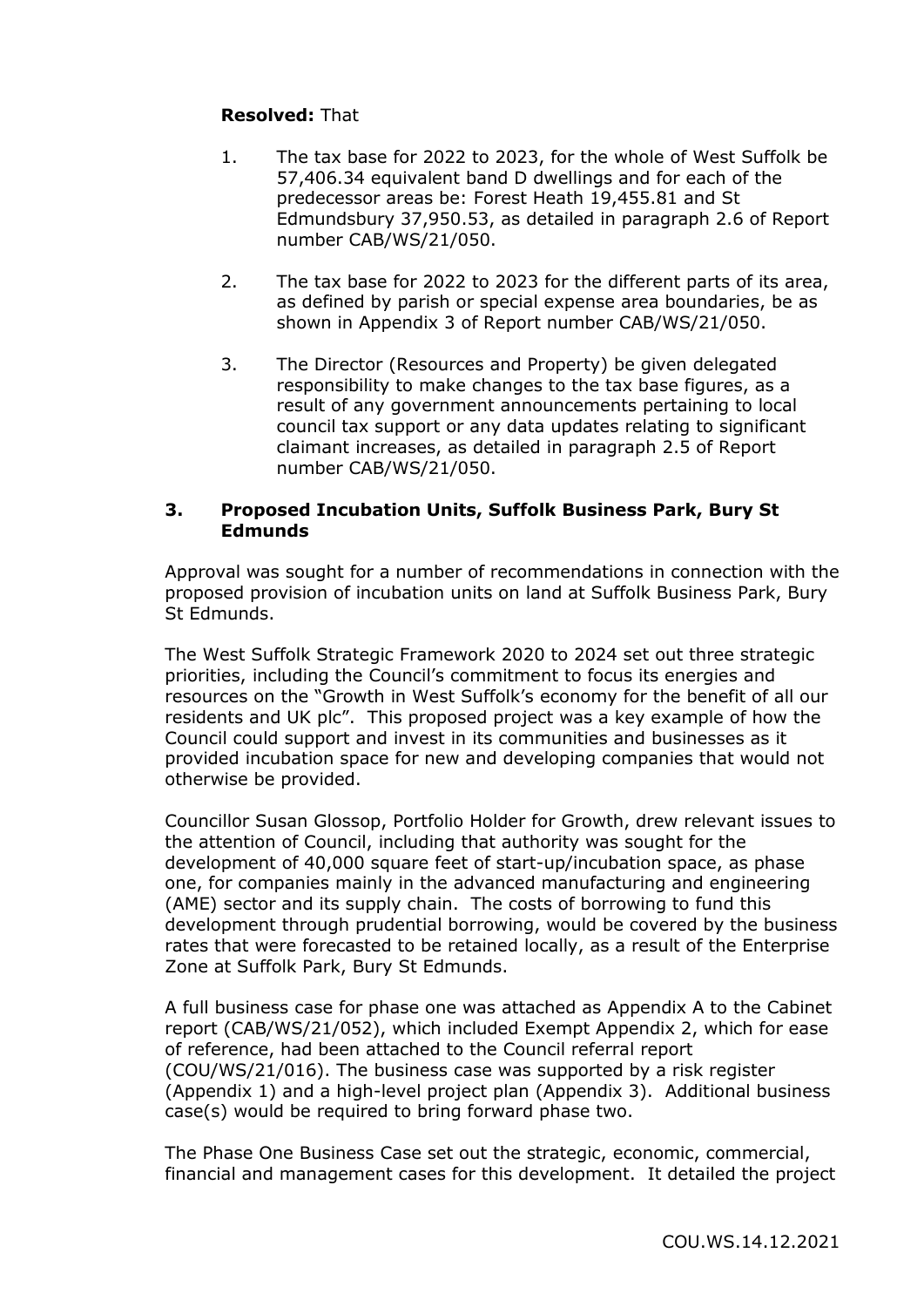# **Resolved:** That

- 1. The tax base for 2022 to 2023, for the whole of West Suffolk be 57,406.34 equivalent band D dwellings and for each of the predecessor areas be: Forest Heath 19,455.81 and St Edmundsbury 37,950.53, as detailed in paragraph 2.6 of Report number CAB/WS/21/050.
- 2. The tax base for 2022 to 2023 for the different parts of its area, as defined by parish or special expense area boundaries, be as shown in Appendix 3 of Report number CAB/WS/21/050.
- 3. The Director (Resources and Property) be given delegated responsibility to make changes to the tax base figures, as a result of any government announcements pertaining to local council tax support or any data updates relating to significant claimant increases, as detailed in paragraph 2.5 of Report number CAB/WS/21/050.

## **3. Proposed Incubation Units, Suffolk Business Park, Bury St Edmunds**

Approval was sought for a number of recommendations in connection with the proposed provision of incubation units on land at Suffolk Business Park, Bury St Edmunds.

The West Suffolk Strategic Framework 2020 to 2024 set out three strategic priorities, including the Council's commitment to focus its energies and resources on the "Growth in West Suffolk's economy for the benefit of all our residents and UK plc". This proposed project was a key example of how the Council could support and invest in its communities and businesses as it provided incubation space for new and developing companies that would not otherwise be provided.

Councillor Susan Glossop, Portfolio Holder for Growth, drew relevant issues to the attention of Council, including that authority was sought for the development of 40,000 square feet of start-up/incubation space, as phase one, for companies mainly in the advanced manufacturing and engineering (AME) sector and its supply chain. The costs of borrowing to fund this development through prudential borrowing, would be covered by the business rates that were forecasted to be retained locally, as a result of the Enterprise Zone at Suffolk Park, Bury St Edmunds.

A full business case for phase one was attached as Appendix A to the Cabinet report (CAB/WS/21/052), which included Exempt Appendix 2, which for ease of reference, had been attached to the Council referral report (COU/WS/21/016). The business case was supported by a risk register (Appendix 1) and a high-level project plan (Appendix 3). Additional business case(s) would be required to bring forward phase two.

The Phase One Business Case set out the strategic, economic, commercial, financial and management cases for this development. It detailed the project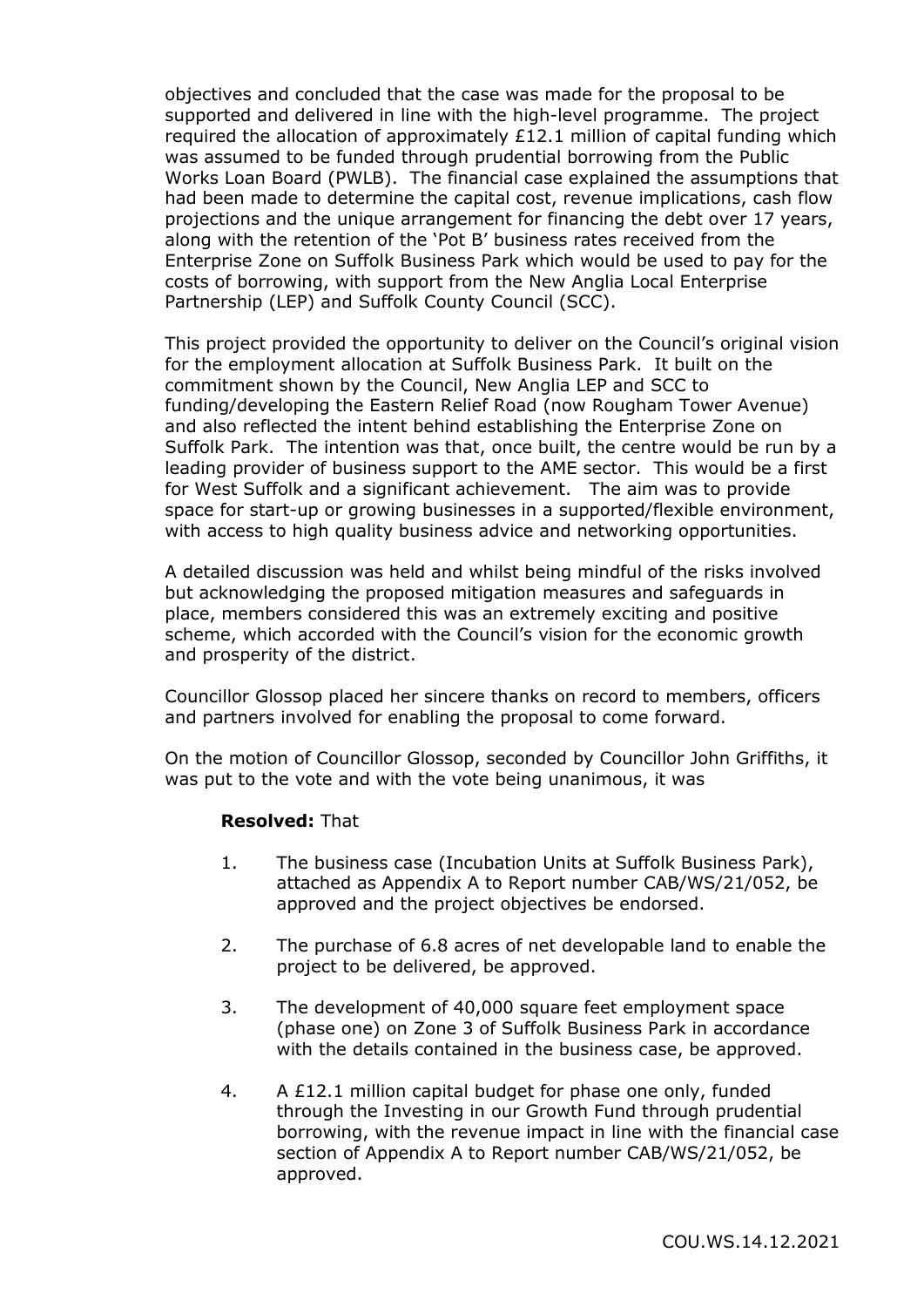objectives and concluded that the case was made for the proposal to be supported and delivered in line with the high-level programme. The project required the allocation of approximately £12.1 million of capital funding which was assumed to be funded through prudential borrowing from the Public Works Loan Board (PWLB). The financial case explained the assumptions that had been made to determine the capital cost, revenue implications, cash flow projections and the unique arrangement for financing the debt over 17 years, along with the retention of the 'Pot B' business rates received from the Enterprise Zone on Suffolk Business Park which would be used to pay for the costs of borrowing, with support from the New Anglia Local Enterprise Partnership (LEP) and Suffolk County Council (SCC).

This project provided the opportunity to deliver on the Council's original vision for the employment allocation at Suffolk Business Park. It built on the commitment shown by the Council, New Anglia LEP and SCC to funding/developing the Eastern Relief Road (now Rougham Tower Avenue) and also reflected the intent behind establishing the Enterprise Zone on Suffolk Park. The intention was that, once built, the centre would be run by a leading provider of business support to the AME sector. This would be a first for West Suffolk and a significant achievement. The aim was to provide space for start-up or growing businesses in a supported/flexible environment, with access to high quality business advice and networking opportunities.

A detailed discussion was held and whilst being mindful of the risks involved but acknowledging the proposed mitigation measures and safeguards in place, members considered this was an extremely exciting and positive scheme, which accorded with the Council's vision for the economic growth and prosperity of the district.

Councillor Glossop placed her sincere thanks on record to members, officers and partners involved for enabling the proposal to come forward.

On the motion of Councillor Glossop, seconded by Councillor John Griffiths, it was put to the vote and with the vote being unanimous, it was

#### **Resolved:** That

- 1. The business case (Incubation Units at Suffolk Business Park), attached as Appendix A to Report number CAB/WS/21/052, be approved and the project objectives be endorsed.
- 2. The purchase of 6.8 acres of net developable land to enable the project to be delivered, be approved.
- 3. The development of 40,000 square feet employment space (phase one) on Zone 3 of Suffolk Business Park in accordance with the details contained in the business case, be approved.
- 4. A £12.1 million capital budget for phase one only, funded through the Investing in our Growth Fund through prudential borrowing, with the revenue impact in line with the financial case section of Appendix A to Report number CAB/WS/21/052, be approved.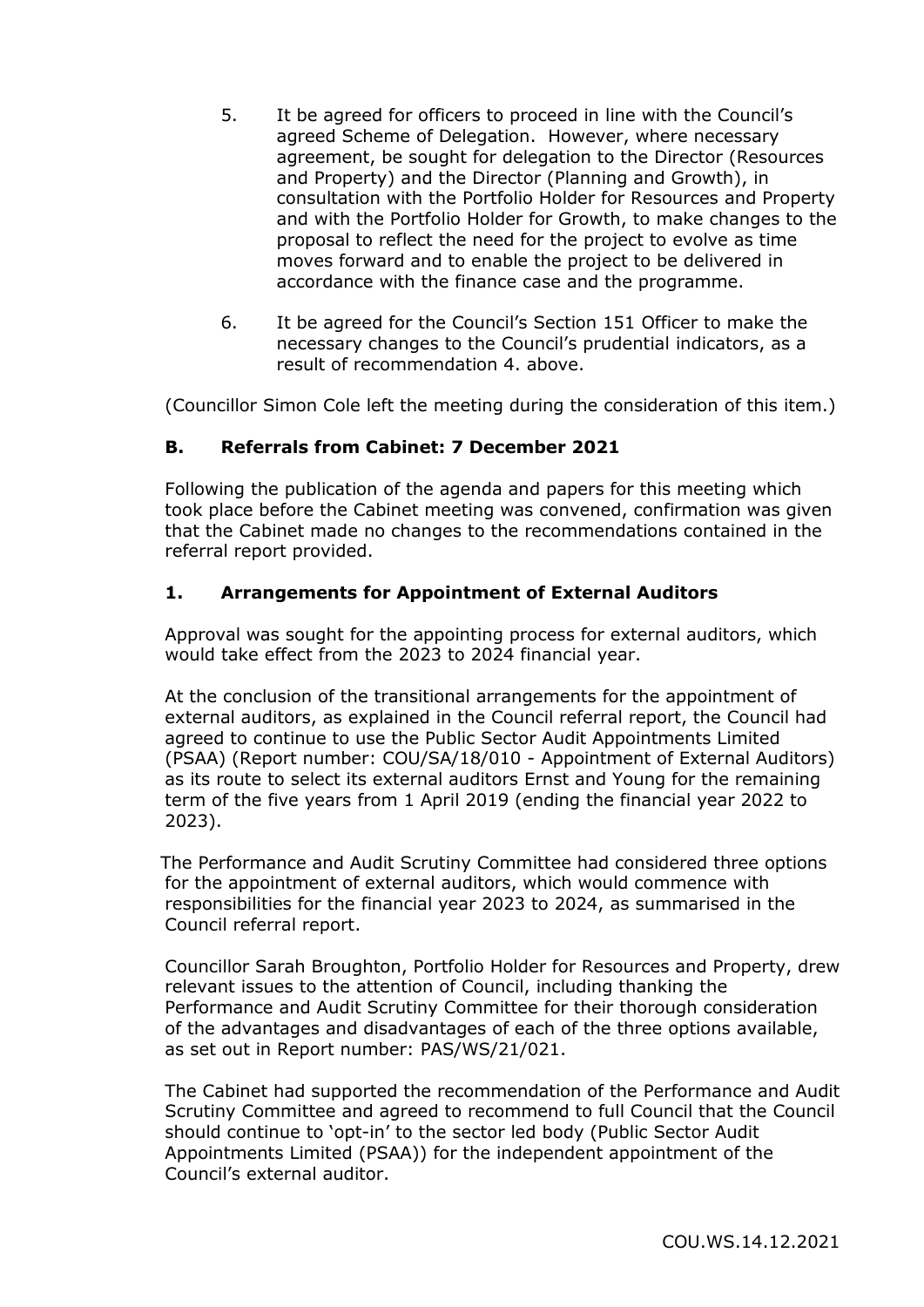- 5. It be agreed for officers to proceed in line with the Council's agreed Scheme of Delegation. However, where necessary agreement, be sought for delegation to the Director (Resources and Property) and the Director (Planning and Growth), in consultation with the Portfolio Holder for Resources and Property and with the Portfolio Holder for Growth, to make changes to the proposal to reflect the need for the project to evolve as time moves forward and to enable the project to be delivered in accordance with the finance case and the programme.
- 6. It be agreed for the Council's Section 151 Officer to make the necessary changes to the Council's prudential indicators, as a result of recommendation 4. above.

(Councillor Simon Cole left the meeting during the consideration of this item.)

## **B. Referrals from Cabinet: 7 December 2021**

Following the publication of the agenda and papers for this meeting which took place before the Cabinet meeting was convened, confirmation was given that the Cabinet made no changes to the recommendations contained in the referral report provided.

#### **1. Arrangements for Appointment of External Auditors**

Approval was sought for the appointing process for external auditors, which would take effect from the 2023 to 2024 financial year.

At the conclusion of the transitional arrangements for the appointment of external auditors, as explained in the Council referral report, the Council had agreed to continue to use the Public Sector Audit Appointments Limited (PSAA) (Report number: COU/SA/18/010 - Appointment of External Auditors) as its route to select its external auditors Ernst and Young for the remaining term of the five years from 1 April 2019 (ending the financial year 2022 to 2023).

The Performance and Audit Scrutiny Committee had considered three options for the appointment of external auditors, which would commence with responsibilities for the financial year 2023 to 2024, as summarised in the Council referral report.

Councillor Sarah Broughton, Portfolio Holder for Resources and Property, drew relevant issues to the attention of Council, including thanking the Performance and Audit Scrutiny Committee for their thorough consideration of the advantages and disadvantages of each of the three options available, as set out in Report number: PAS/WS/21/021.

The Cabinet had supported the recommendation of the Performance and Audit Scrutiny Committee and agreed to recommend to full Council that the Council should continue to 'opt-in' to the sector led body (Public Sector Audit Appointments Limited (PSAA)) for the independent appointment of the Council's external auditor.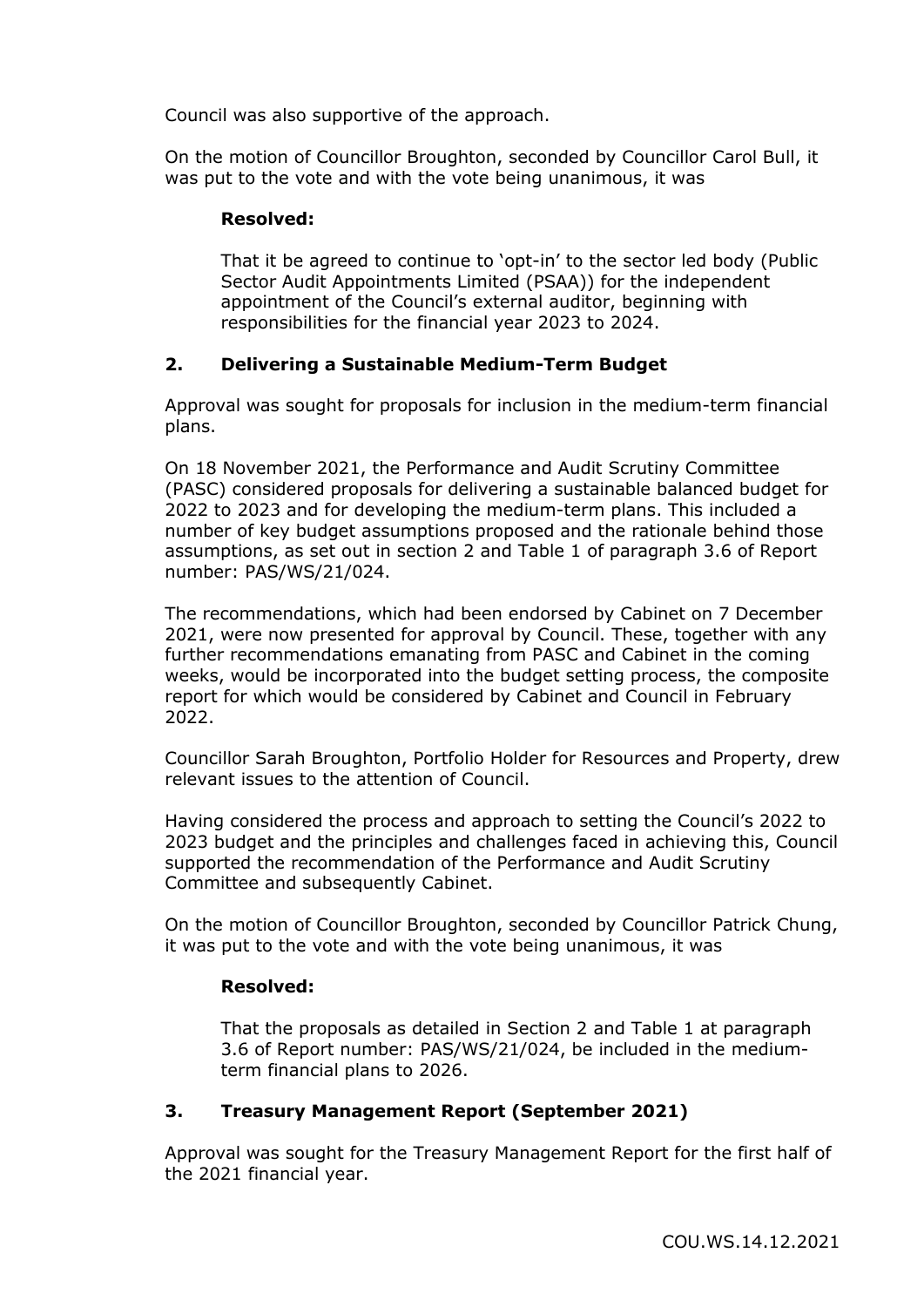Council was also supportive of the approach.

On the motion of Councillor Broughton, seconded by Councillor Carol Bull, it was put to the vote and with the vote being unanimous, it was

## **Resolved:**

That it be agreed to continue to 'opt-in' to the sector led body (Public Sector Audit Appointments Limited (PSAA)) for the independent appointment of the Council's external auditor, beginning with responsibilities for the financial year 2023 to 2024.

# **2. Delivering a Sustainable Medium-Term Budget**

Approval was sought for proposals for inclusion in the medium-term financial plans.

On 18 November 2021, the Performance and Audit Scrutiny Committee (PASC) considered proposals for delivering a sustainable balanced budget for 2022 to 2023 and for developing the medium-term plans. This included a number of key budget assumptions proposed and the rationale behind those assumptions, as set out in section 2 and Table 1 of paragraph 3.6 of Report number: PAS/WS/21/024.

The recommendations, which had been endorsed by Cabinet on 7 December 2021, were now presented for approval by Council. These, together with any further recommendations emanating from PASC and Cabinet in the coming weeks, would be incorporated into the budget setting process, the composite report for which would be considered by Cabinet and Council in February 2022.

Councillor Sarah Broughton, Portfolio Holder for Resources and Property, drew relevant issues to the attention of Council.

Having considered the process and approach to setting the Council's 2022 to 2023 budget and the principles and challenges faced in achieving this, Council supported the recommendation of the Performance and Audit Scrutiny Committee and subsequently Cabinet.

On the motion of Councillor Broughton, seconded by Councillor Patrick Chung, it was put to the vote and with the vote being unanimous, it was

#### **Resolved:**

That the proposals as detailed in Section 2 and Table 1 at paragraph 3.6 of Report number: PAS/WS/21/024, be included in the mediumterm financial plans to 2026.

# **3. Treasury Management Report (September 2021)**

Approval was sought for the Treasury Management Report for the first half of the 2021 financial year.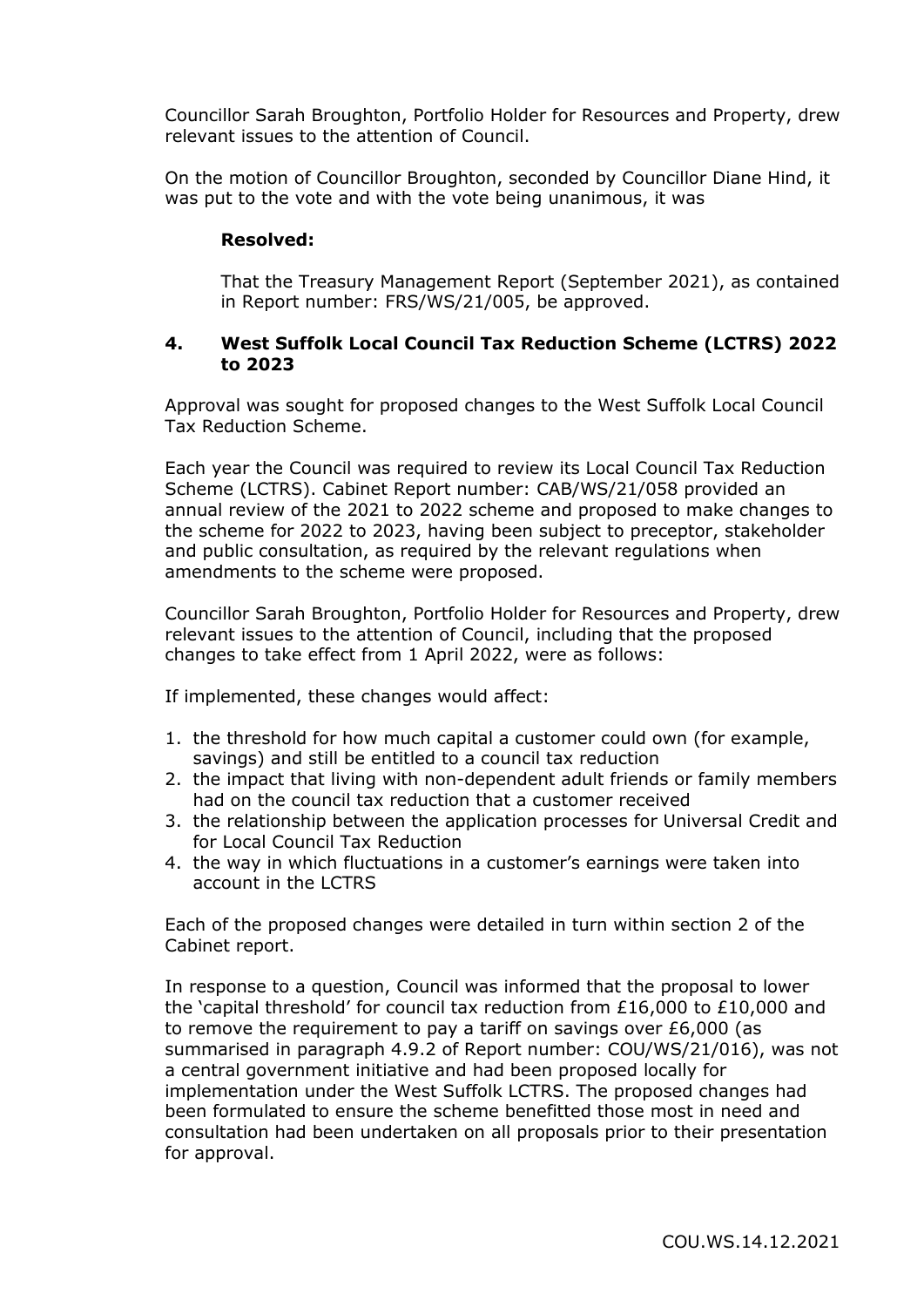Councillor Sarah Broughton, Portfolio Holder for Resources and Property, drew relevant issues to the attention of Council.

On the motion of Councillor Broughton, seconded by Councillor Diane Hind, it was put to the vote and with the vote being unanimous, it was

## **Resolved:**

That the Treasury Management Report (September 2021), as contained in Report number: FRS/WS/21/005, be approved.

## **4. West Suffolk Local Council Tax Reduction Scheme (LCTRS) 2022 to 2023**

Approval was sought for proposed changes to the West Suffolk Local Council Tax Reduction Scheme.

Each year the Council was required to review its Local Council Tax Reduction Scheme (LCTRS). Cabinet Report number: CAB/WS/21/058 provided an annual review of the 2021 to 2022 scheme and proposed to make changes to the scheme for 2022 to 2023, having been subject to preceptor, stakeholder and public consultation, as required by the relevant regulations when amendments to the scheme were proposed.

Councillor Sarah Broughton, Portfolio Holder for Resources and Property, drew relevant issues to the attention of Council, including that the proposed changes to take effect from 1 April 2022, were as follows:

If implemented, these changes would affect:

- 1. the threshold for how much capital a customer could own (for example, savings) and still be entitled to a council tax reduction
- 2. the impact that living with non-dependent adult friends or family members had on the council tax reduction that a customer received
- 3. the relationship between the application processes for Universal Credit and for Local Council Tax Reduction
- 4. the way in which fluctuations in a customer's earnings were taken into account in the LCTRS

Each of the proposed changes were detailed in turn within section 2 of the Cabinet report.

In response to a question, Council was informed that the proposal to lower the 'capital threshold' for council tax reduction from £16,000 to £10,000 and to remove the requirement to pay a tariff on savings over £6,000 (as summarised in paragraph 4.9.2 of Report number: COU/WS/21/016), was not a central government initiative and had been proposed locally for implementation under the West Suffolk LCTRS. The proposed changes had been formulated to ensure the scheme benefitted those most in need and consultation had been undertaken on all proposals prior to their presentation for approval.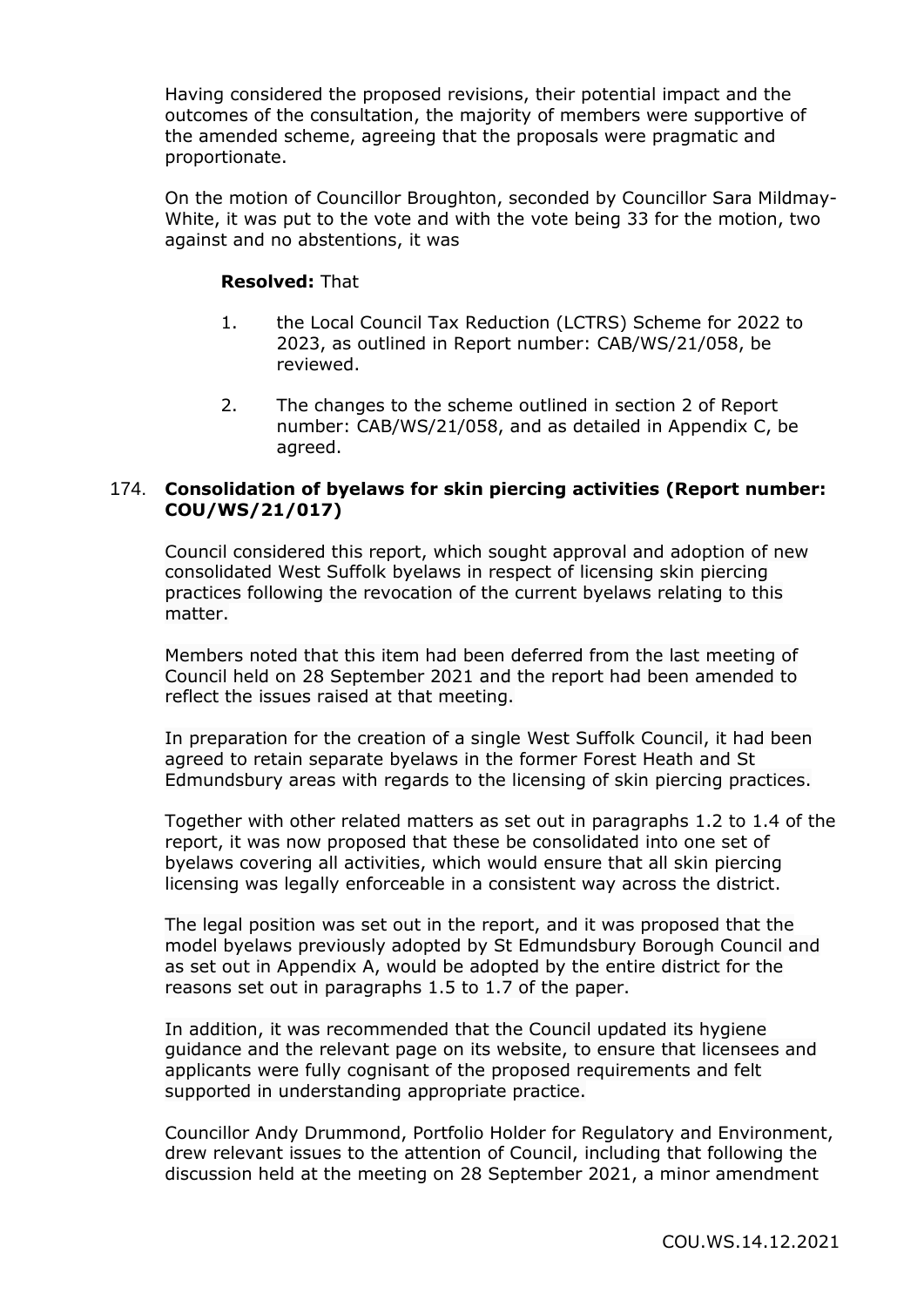Having considered the proposed revisions, their potential impact and the outcomes of the consultation, the majority of members were supportive of the amended scheme, agreeing that the proposals were pragmatic and proportionate.

On the motion of Councillor Broughton, seconded by Councillor Sara Mildmay-White, it was put to the vote and with the vote being 33 for the motion, two against and no abstentions, it was

#### **Resolved:** That

- 1. the Local Council Tax Reduction (LCTRS) Scheme for 2022 to 2023, as outlined in Report number: CAB/WS/21/058, be reviewed.
- 2. The changes to the scheme outlined in section 2 of Report number: CAB/WS/21/058, and as detailed in Appendix C, be agreed.

## 174. **Consolidation of byelaws for skin piercing activities (Report number: COU/WS/21/017)**

Council considered this report, which sought approval and adoption of new consolidated West Suffolk byelaws in respect of licensing skin piercing practices following the revocation of the current byelaws relating to this matter.

Members noted that this item had been deferred from the last meeting of Council held on 28 September 2021 and the report had been amended to reflect the issues raised at that meeting.

In preparation for the creation of a single West Suffolk Council, it had been agreed to retain separate byelaws in the former Forest Heath and St Edmundsbury areas with regards to the licensing of skin piercing practices.

Together with other related matters as set out in paragraphs 1.2 to 1.4 of the report, it was now proposed that these be consolidated into one set of byelaws covering all activities, which would ensure that all skin piercing licensing was legally enforceable in a consistent way across the district.

The legal position was set out in the report, and it was proposed that the model byelaws previously adopted by St Edmundsbury Borough Council and as set out in Appendix A, would be adopted by the entire district for the reasons set out in paragraphs 1.5 to 1.7 of the paper.

In addition, it was recommended that the Council updated its hygiene guidance and the relevant page on its website, to ensure that licensees and applicants were fully cognisant of the proposed requirements and felt supported in understanding appropriate practice.

Councillor Andy Drummond, Portfolio Holder for Regulatory and Environment, drew relevant issues to the attention of Council, including that following the discussion held at the meeting on 28 September 2021, a minor amendment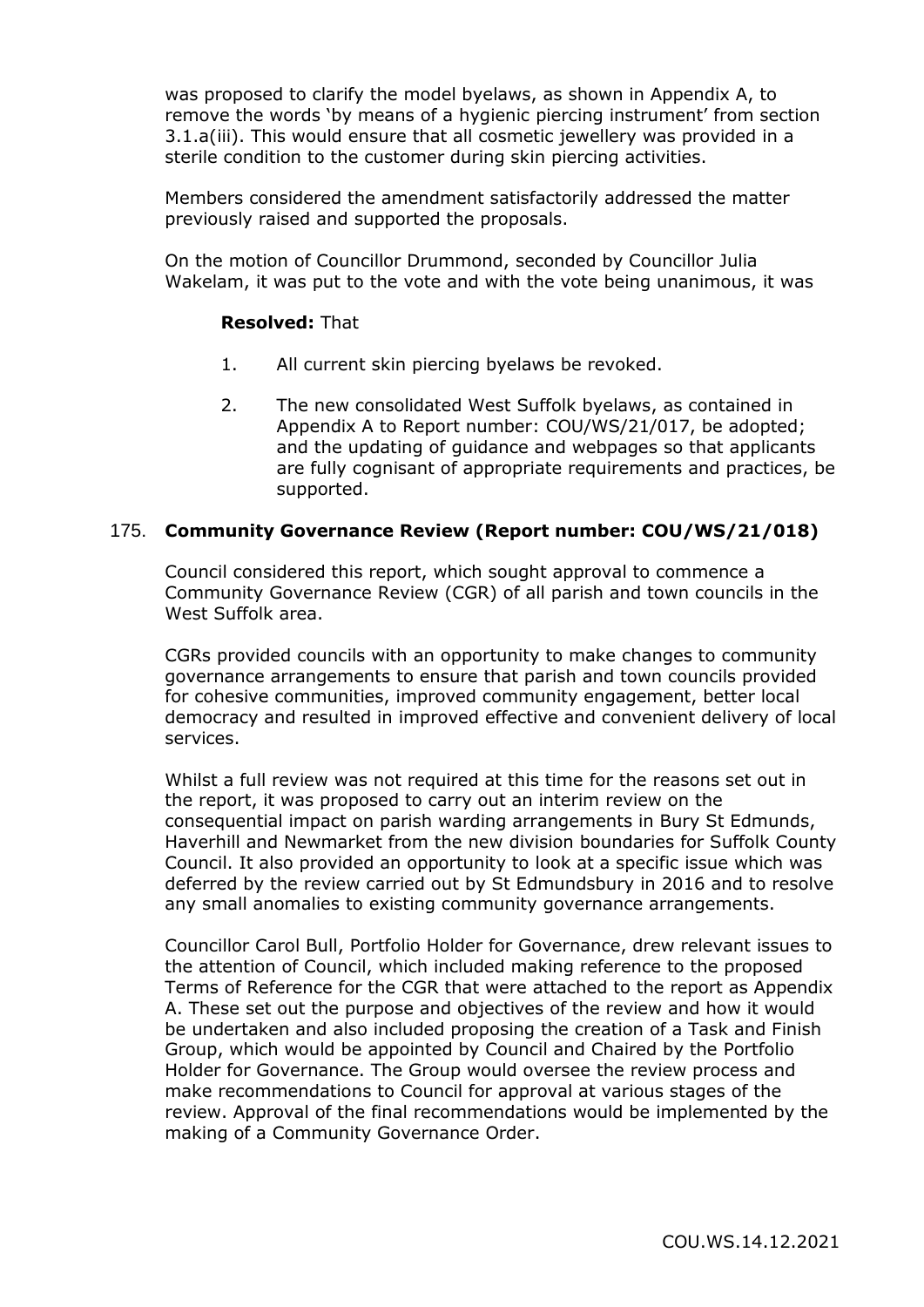was proposed to clarify the model byelaws, as shown in Appendix A, to remove the words 'by means of a hygienic piercing instrument' from section 3.1.a(iii). This would ensure that all cosmetic jewellery was provided in a sterile condition to the customer during skin piercing activities.

Members considered the amendment satisfactorily addressed the matter previously raised and supported the proposals.

On the motion of Councillor Drummond, seconded by Councillor Julia Wakelam, it was put to the vote and with the vote being unanimous, it was

#### **Resolved:** That

- 1. All current skin piercing byelaws be revoked.
- 2. The new consolidated West Suffolk byelaws, as contained in Appendix A to Report number: COU/WS/21/017, be adopted; and the updating of guidance and webpages so that applicants are fully cognisant of appropriate requirements and practices, be supported.

#### 175. **Community Governance Review (Report number: COU/WS/21/018)**

Council considered this report, which sought approval to commence a Community Governance Review (CGR) of all parish and town councils in the West Suffolk area.

CGRs provided councils with an opportunity to make changes to community governance arrangements to ensure that parish and town councils provided for cohesive communities, improved community engagement, better local democracy and resulted in improved effective and convenient delivery of local services.

Whilst a full review was not required at this time for the reasons set out in the report, it was proposed to carry out an interim review on the consequential impact on parish warding arrangements in Bury St Edmunds, Haverhill and Newmarket from the new division boundaries for Suffolk County Council. It also provided an opportunity to look at a specific issue which was deferred by the review carried out by St Edmundsbury in 2016 and to resolve any small anomalies to existing community governance arrangements.

Councillor Carol Bull, Portfolio Holder for Governance, drew relevant issues to the attention of Council, which included making reference to the proposed Terms of Reference for the CGR that were attached to the report as Appendix A. These set out the purpose and objectives of the review and how it would be undertaken and also included proposing the creation of a Task and Finish Group, which would be appointed by Council and Chaired by the Portfolio Holder for Governance. The Group would oversee the review process and make recommendations to Council for approval at various stages of the review. Approval of the final recommendations would be implemented by the making of a Community Governance Order.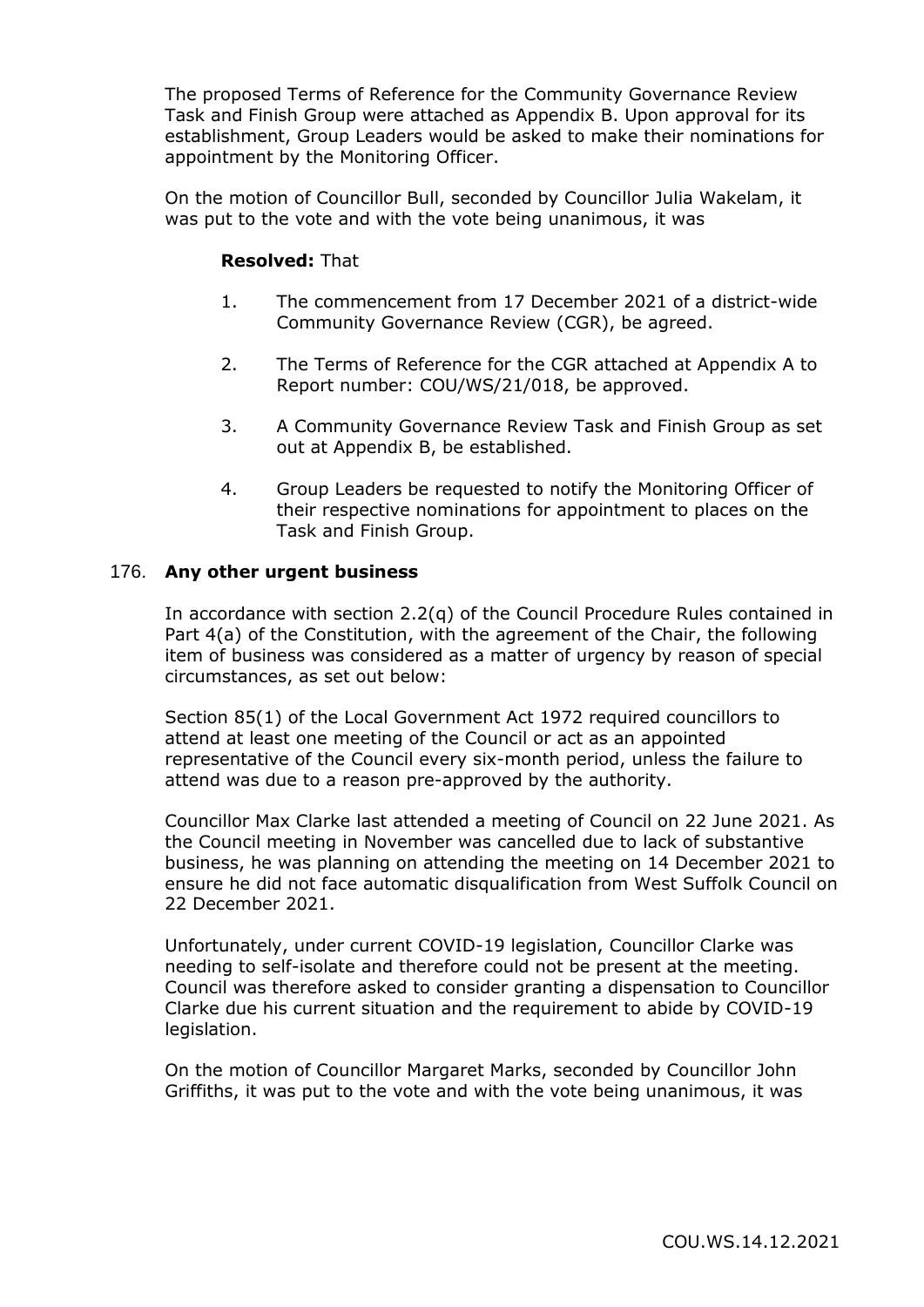The proposed Terms of Reference for the Community Governance Review Task and Finish Group were attached as Appendix B. Upon approval for its establishment, Group Leaders would be asked to make their nominations for appointment by the Monitoring Officer.

On the motion of Councillor Bull, seconded by Councillor Julia Wakelam, it was put to the vote and with the vote being unanimous, it was

## **Resolved:** That

- 1. The commencement from 17 December 2021 of a district-wide Community Governance Review (CGR), be agreed.
- 2. The Terms of Reference for the CGR attached at Appendix A to Report number: COU/WS/21/018, be approved.
- 3. A Community Governance Review Task and Finish Group as set out at Appendix B, be established.
- 4. Group Leaders be requested to notify the Monitoring Officer of their respective nominations for appointment to places on the Task and Finish Group.

#### 176. **Any other urgent business**

In accordance with section 2.2(q) of the Council Procedure Rules contained in Part 4(a) of the Constitution, with the agreement of the Chair, the following item of business was considered as a matter of urgency by reason of special circumstances, as set out below:

Section 85(1) of the Local Government Act 1972 required councillors to attend at least one meeting of the Council or act as an appointed representative of the Council every six-month period, unless the failure to attend was due to a reason pre-approved by the authority.

Councillor Max Clarke last attended a meeting of Council on 22 June 2021. As the Council meeting in November was cancelled due to lack of substantive business, he was planning on attending the meeting on 14 December 2021 to ensure he did not face automatic disqualification from West Suffolk Council on 22 December 2021.

Unfortunately, under current COVID-19 legislation, Councillor Clarke was needing to self-isolate and therefore could not be present at the meeting. Council was therefore asked to consider granting a dispensation to Councillor Clarke due his current situation and the requirement to abide by COVID-19 legislation.

On the motion of Councillor Margaret Marks, seconded by Councillor John Griffiths, it was put to the vote and with the vote being unanimous, it was